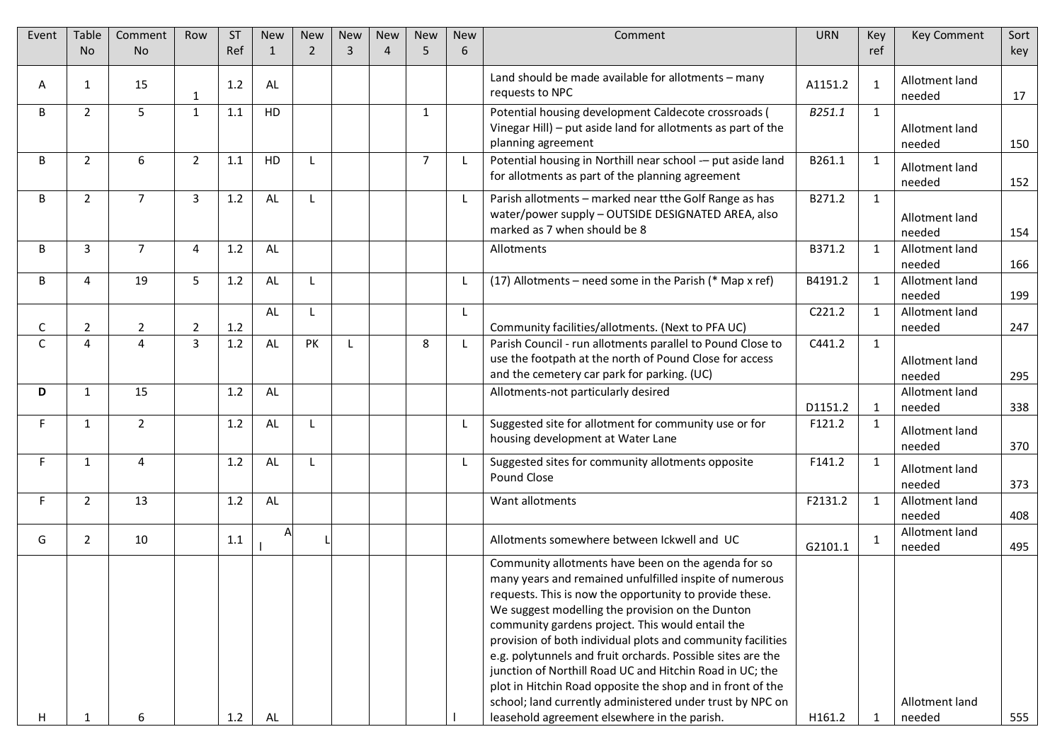| Event  | Table               | Comment                          | Row                 | <b>ST</b>  | <b>New</b>     | <b>New</b>   | <b>New</b> | <b>New</b>            | <b>New</b>     | <b>New</b> | Comment                                                                                                                                                                                                                                                                                                                                                                                                                                                                                                                                                                                                                                                | <b>URN</b> | Key          | <b>Key Comment</b>                 | Sort       |
|--------|---------------------|----------------------------------|---------------------|------------|----------------|--------------|------------|-----------------------|----------------|------------|--------------------------------------------------------------------------------------------------------------------------------------------------------------------------------------------------------------------------------------------------------------------------------------------------------------------------------------------------------------------------------------------------------------------------------------------------------------------------------------------------------------------------------------------------------------------------------------------------------------------------------------------------------|------------|--------------|------------------------------------|------------|
|        | N <sub>o</sub>      | No                               |                     | Ref        | $\overline{1}$ | 2            | 3          | $\boldsymbol{\Delta}$ | 5              | 6          |                                                                                                                                                                                                                                                                                                                                                                                                                                                                                                                                                                                                                                                        |            | ref          |                                    | key        |
| Α      | 1                   | 15                               | 1                   | 1.2        | AL             |              |            |                       |                |            | Land should be made available for allotments - many<br>requests to NPC                                                                                                                                                                                                                                                                                                                                                                                                                                                                                                                                                                                 | A1151.2    |              | Allotment land<br>needed           | 17         |
| B      | $\overline{2}$      | 5                                | $\mathbf{1}$        | 1.1        | HD             |              |            |                       | $\mathbf{1}$   |            | Potential housing development Caldecote crossroads (<br>Vinegar Hill) - put aside land for allotments as part of the<br>planning agreement                                                                                                                                                                                                                                                                                                                                                                                                                                                                                                             | B251.1     | $\mathbf{1}$ | Allotment land<br>needed           | 150        |
| B      | $\overline{2}$      | 6                                | $\overline{2}$      | 1.1        | HD             | $\mathbf{I}$ |            |                       | $\overline{7}$ |            | Potential housing in Northill near school -- put aside land<br>for allotments as part of the planning agreement                                                                                                                                                                                                                                                                                                                                                                                                                                                                                                                                        | B261.1     | $\mathbf{1}$ | Allotment land<br>needed           | 152        |
| B      | $\overline{2}$      | $\overline{7}$                   | $\overline{3}$      | 1.2        | AL             | $\mathbf{I}$ |            |                       |                | -L         | Parish allotments - marked near tthe Golf Range as has<br>water/power supply - OUTSIDE DESIGNATED AREA, also<br>marked as 7 when should be 8                                                                                                                                                                                                                                                                                                                                                                                                                                                                                                           | B271.2     | $\mathbf{1}$ | Allotment land<br>needed           | 154        |
| B      | 3                   | $\overline{7}$                   | 4                   | 1.2        | AL             |              |            |                       |                |            | Allotments                                                                                                                                                                                                                                                                                                                                                                                                                                                                                                                                                                                                                                             | B371.2     |              | Allotment land<br>needed           | 166        |
| B      | 4                   | 19                               | 5                   | 1.2        | AL             | -1.          |            |                       |                |            | (17) Allotments – need some in the Parish (* Map x ref)                                                                                                                                                                                                                                                                                                                                                                                                                                                                                                                                                                                                | B4191.2    | $\mathbf{1}$ | Allotment land<br>needed           | 199        |
|        |                     |                                  |                     |            | AL             | L            |            |                       |                | -L         |                                                                                                                                                                                                                                                                                                                                                                                                                                                                                                                                                                                                                                                        | C221.2     | $\mathbf{1}$ | Allotment land                     |            |
| C<br>C | 2<br>$\overline{4}$ | $\overline{2}$<br>$\overline{4}$ | $\overline{2}$<br>3 | 1.2<br>1.2 | AL             | PK           | L          |                       | 8              |            | Community facilities/allotments. (Next to PFA UC)<br>Parish Council - run allotments parallel to Pound Close to<br>use the footpath at the north of Pound Close for access<br>and the cemetery car park for parking. (UC)                                                                                                                                                                                                                                                                                                                                                                                                                              | C441.2     | $\mathbf{1}$ | needed<br>Allotment land<br>needed | 247<br>295 |
| D      | 1                   | 15                               |                     | 1.2        | AL             |              |            |                       |                |            | Allotments-not particularly desired                                                                                                                                                                                                                                                                                                                                                                                                                                                                                                                                                                                                                    | D1151.2    |              | Allotment land<br>needed           | 338        |
| F.     | $\mathbf{1}$        | $\overline{2}$                   |                     | 1.2        | AL             | -1.          |            |                       |                |            | Suggested site for allotment for community use or for<br>housing development at Water Lane                                                                                                                                                                                                                                                                                                                                                                                                                                                                                                                                                             | F121.2     | $\mathbf{1}$ | Allotment land<br>needed           | 370        |
| F.     | 1                   | 4                                |                     | 1.2        | AL             | $\mathbf{I}$ |            |                       |                |            | Suggested sites for community allotments opposite<br>Pound Close                                                                                                                                                                                                                                                                                                                                                                                                                                                                                                                                                                                       | F141.2     | 1            | Allotment land<br>needed           | 373        |
| F.     | $\overline{2}$      | 13                               |                     | 1.2        | AL             |              |            |                       |                |            | Want allotments                                                                                                                                                                                                                                                                                                                                                                                                                                                                                                                                                                                                                                        | F2131.2    | $\mathbf{1}$ | Allotment land<br>needed           | 408        |
| G      | 2                   | 10                               |                     | 1.1        |                |              |            |                       |                |            | Allotments somewhere between Ickwell and UC                                                                                                                                                                                                                                                                                                                                                                                                                                                                                                                                                                                                            | G2101.1    | 1            | Allotment land<br>needed           | 495        |
| H.     |                     | 6                                |                     | 1.2        | AL             |              |            |                       |                |            | Community allotments have been on the agenda for so<br>many years and remained unfulfilled inspite of numerous<br>requests. This is now the opportunity to provide these.<br>We suggest modelling the provision on the Dunton<br>community gardens project. This would entail the<br>provision of both individual plots and community facilities<br>e.g. polytunnels and fruit orchards. Possible sites are the<br>junction of Northill Road UC and Hitchin Road in UC; the<br>plot in Hitchin Road opposite the shop and in front of the<br>school; land currently administered under trust by NPC on<br>leasehold agreement elsewhere in the parish. | H161.2     | 1            | Allotment land<br>needed           | 555        |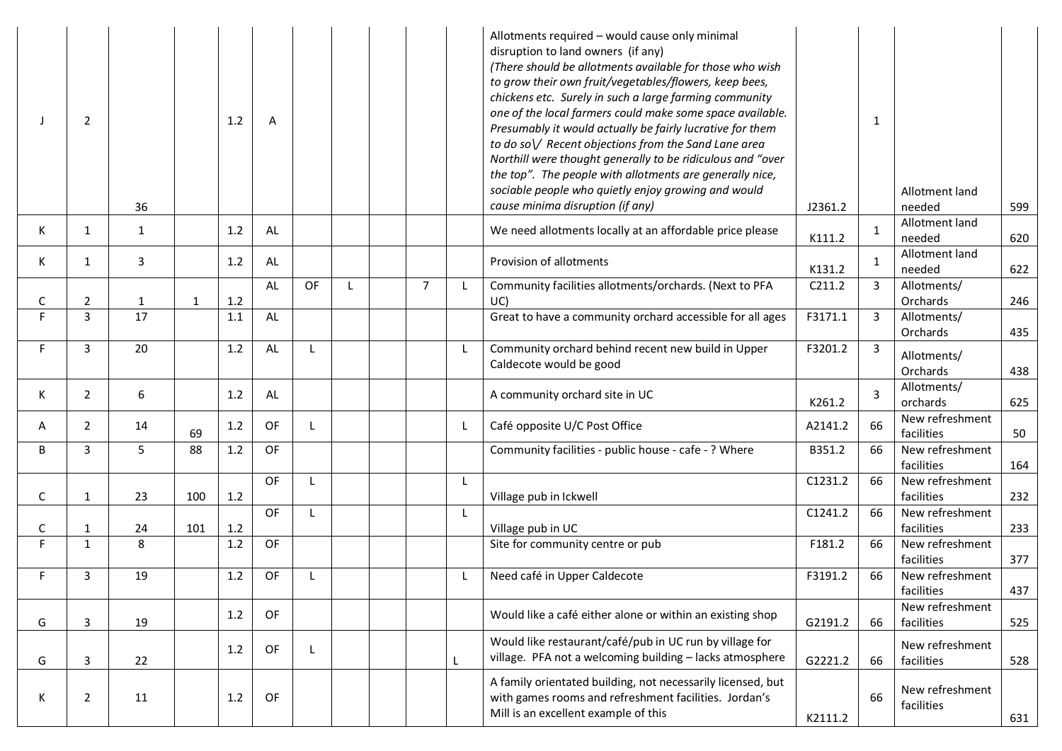| J       | 2                 | 36           |              | 1.2        | Α  |    |  |                | Allotments required - would cause only minimal<br>disruption to land owners (if any)<br>(There should be allotments available for those who wish<br>to grow their own fruit/vegetables/flowers, keep bees,<br>chickens etc. Surely in such a large farming community<br>one of the local farmers could make some space available.<br>Presumably it would actually be fairly lucrative for them<br>to do so V Recent objections from the Sand Lane area<br>Northill were thought generally to be ridiculous and "over<br>the top". The people with allotments are generally nice,<br>sociable people who quietly enjoy growing and would<br>cause minima disruption (if any) | J2361.2 | 1  | Allotment land<br>needed      | 599 |
|---------|-------------------|--------------|--------------|------------|----|----|--|----------------|-----------------------------------------------------------------------------------------------------------------------------------------------------------------------------------------------------------------------------------------------------------------------------------------------------------------------------------------------------------------------------------------------------------------------------------------------------------------------------------------------------------------------------------------------------------------------------------------------------------------------------------------------------------------------------|---------|----|-------------------------------|-----|
| K.      | 1                 | 1            |              | 1.2        | AL |    |  |                | We need allotments locally at an affordable price please                                                                                                                                                                                                                                                                                                                                                                                                                                                                                                                                                                                                                    | K111.2  |    | Allotment land<br>needed      | 620 |
| K       | 1                 | 3            |              | 1.2        | AL |    |  |                | Provision of allotments                                                                                                                                                                                                                                                                                                                                                                                                                                                                                                                                                                                                                                                     | K131.2  | 1  | Allotment land<br>needed      | 622 |
| С       | 2                 | $\mathbf{1}$ | $\mathbf{1}$ | 1.2        | AL | OF |  | $\overline{7}$ | Community facilities allotments/orchards. (Next to PFA<br>UC)                                                                                                                                                                                                                                                                                                                                                                                                                                                                                                                                                                                                               | C211.2  | 3  | Allotments/<br>Orchards       | 246 |
| F.      | $\overline{3}$    | 17           |              | 1.1        | AL |    |  |                | Great to have a community orchard accessible for all ages                                                                                                                                                                                                                                                                                                                                                                                                                                                                                                                                                                                                                   | F3171.1 | 3  | Allotments/<br>Orchards       | 435 |
| F.      | 3                 | 20           |              | 1.2        | AL |    |  |                | Community orchard behind recent new build in Upper<br>Caldecote would be good                                                                                                                                                                                                                                                                                                                                                                                                                                                                                                                                                                                               | F3201.2 | 3  | Allotments/<br>Orchards       | 438 |
| K       | $\overline{2}$    | 6            |              | 1.2        | AL |    |  |                | A community orchard site in UC                                                                                                                                                                                                                                                                                                                                                                                                                                                                                                                                                                                                                                              | K261.2  | 3  | Allotments/<br>orchards       | 625 |
| A       | $\mathbf{2}$      | 14           | 69           | 1.2        | OF |    |  |                | Café opposite U/C Post Office                                                                                                                                                                                                                                                                                                                                                                                                                                                                                                                                                                                                                                               | A2141.2 | 66 | New refreshment<br>facilities | 50  |
| B       | 3                 | 5            | 88           | 1.2        | OF |    |  |                | Community facilities - public house - cafe - ? Where                                                                                                                                                                                                                                                                                                                                                                                                                                                                                                                                                                                                                        | B351.2  | 66 | New refreshment<br>facilities | 164 |
| C       | 1                 | 23           | 100          | 1.2        | OF |    |  |                | Village pub in Ickwell                                                                                                                                                                                                                                                                                                                                                                                                                                                                                                                                                                                                                                                      | C1231.2 | 66 | New refreshment<br>facilities | 232 |
|         |                   |              |              |            | OF | L  |  |                |                                                                                                                                                                                                                                                                                                                                                                                                                                                                                                                                                                                                                                                                             | C1241.2 | 66 | New refreshment               |     |
| С<br>F. | 1<br>$\mathbf{1}$ | 24<br>8      | 101          | 1.2<br>1.2 | OF |    |  |                | Village pub in UC                                                                                                                                                                                                                                                                                                                                                                                                                                                                                                                                                                                                                                                           | F181.2  | 66 | facilities<br>New refreshment | 233 |
|         |                   |              |              |            |    |    |  |                | Site for community centre or pub                                                                                                                                                                                                                                                                                                                                                                                                                                                                                                                                                                                                                                            |         |    | facilities                    | 377 |
| F.      | 3                 | 19           |              | 1.2        | OF |    |  |                | Need café in Upper Caldecote                                                                                                                                                                                                                                                                                                                                                                                                                                                                                                                                                                                                                                                | F3191.2 | 66 | New refreshment<br>facilities | 437 |
| G       | 3                 | 19           |              | 1.2        | OF |    |  |                | Would like a café either alone or within an existing shop                                                                                                                                                                                                                                                                                                                                                                                                                                                                                                                                                                                                                   | G2191.2 | 66 | New refreshment<br>facilities | 525 |
| G       | 3                 | 22           |              | 1.2        | OF | L  |  |                | Would like restaurant/café/pub in UC run by village for<br>village. PFA not a welcoming building - lacks atmosphere                                                                                                                                                                                                                                                                                                                                                                                                                                                                                                                                                         | G2221.2 | 66 | New refreshment<br>facilities | 528 |
| К       | 2                 | 11           |              | 1.2        | OF |    |  |                | A family orientated building, not necessarily licensed, but<br>with games rooms and refreshment facilities. Jordan's<br>Mill is an excellent example of this                                                                                                                                                                                                                                                                                                                                                                                                                                                                                                                | K2111.2 | 66 | New refreshment<br>facilities | 631 |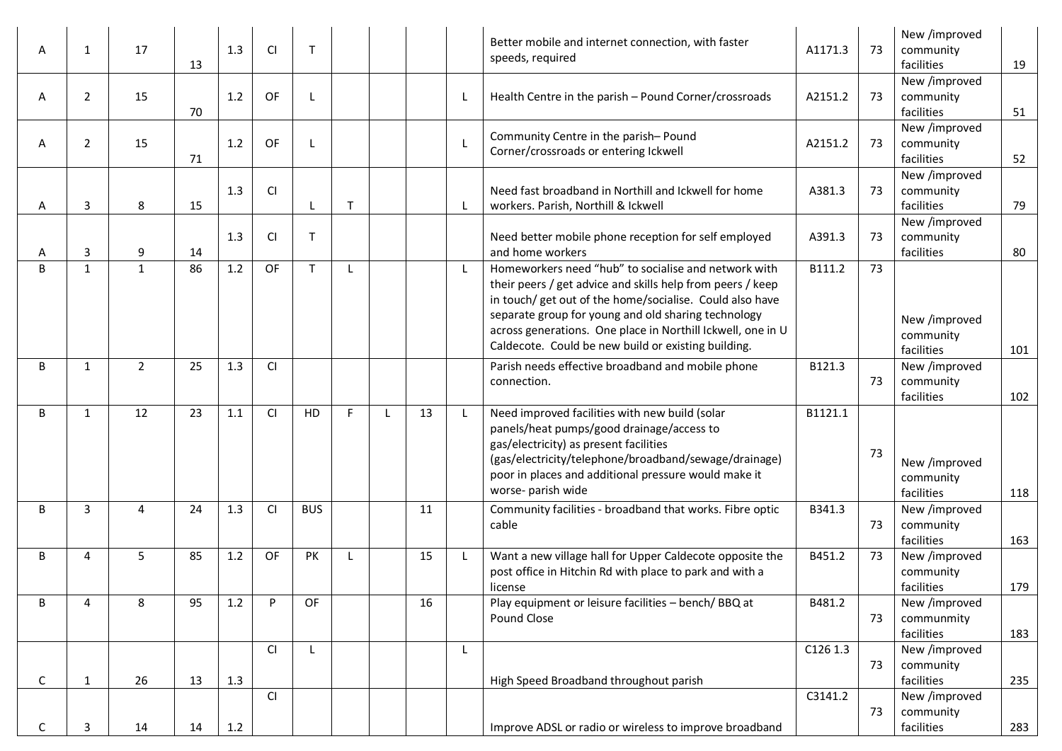| A | 1              | 17             | 13 | 1.3 | <b>CI</b> | $\mathsf T$  |    |    | Better mobile and internet connection, with faster<br>speeds, required                                                                                                                                                                                                                                                                                      | A1171.3  | 73 | New /improved<br>community<br>facilities  | 19  |
|---|----------------|----------------|----|-----|-----------|--------------|----|----|-------------------------------------------------------------------------------------------------------------------------------------------------------------------------------------------------------------------------------------------------------------------------------------------------------------------------------------------------------------|----------|----|-------------------------------------------|-----|
| A | $\overline{2}$ | 15             | 70 | 1.2 | OF        |              |    |    | Health Centre in the parish - Pound Corner/crossroads                                                                                                                                                                                                                                                                                                       | A2151.2  | 73 | New /improved<br>community<br>facilities  | 51  |
| A | $\overline{2}$ | 15             | 71 | 1.2 | OF        |              |    |    | Community Centre in the parish-Pound<br>Corner/crossroads or entering Ickwell                                                                                                                                                                                                                                                                               | A2151.2  | 73 | New /improved<br>community<br>facilities  | 52  |
| A | 3              | 8              | 15 | 1.3 | CI        |              | T  |    | Need fast broadband in Northill and Ickwell for home<br>workers. Parish, Northill & Ickwell                                                                                                                                                                                                                                                                 | A381.3   | 73 | New /improved<br>community<br>facilities  | 79  |
| A | 3              | 9              | 14 | 1.3 | <b>CI</b> | $\mathsf T$  |    |    | Need better mobile phone reception for self employed<br>and home workers                                                                                                                                                                                                                                                                                    | A391.3   | 73 | New /improved<br>community<br>facilities  | 80  |
| B | 1              | $\mathbf{1}$   | 86 | 1.2 | OF        | $\mathsf{T}$ |    |    | Homeworkers need "hub" to socialise and network with<br>their peers / get advice and skills help from peers / keep<br>in touch/ get out of the home/socialise. Could also have<br>separate group for young and old sharing technology<br>across generations. One place in Northill Ickwell, one in U<br>Caldecote. Could be new build or existing building. | B111.2   | 73 | New /improved<br>community<br>facilities  | 101 |
| B | 1              | $\overline{2}$ | 25 | 1.3 | CI        |              |    |    | Parish needs effective broadband and mobile phone<br>connection.                                                                                                                                                                                                                                                                                            | B121.3   | 73 | New /improved<br>community<br>facilities  | 102 |
| B | 1              | 12             | 23 | 1.1 | <b>CI</b> | HD           | F. | 13 | Need improved facilities with new build (solar<br>panels/heat pumps/good drainage/access to<br>gas/electricity) as present facilities<br>(gas/electricity/telephone/broadband/sewage/drainage)<br>poor in places and additional pressure would make it<br>worse- parish wide                                                                                | B1121.1  | 73 | New /improved<br>community<br>facilities  | 118 |
| B | 3              | 4              | 24 | 1.3 | <b>CI</b> | <b>BUS</b>   |    | 11 | Community facilities - broadband that works. Fibre optic<br>cable                                                                                                                                                                                                                                                                                           | B341.3   | 73 | New /improved<br>community<br>facilities  | 163 |
| B | 4              | 5              | 85 | 1.2 | OF        | PK           |    | 15 | Want a new village hall for Upper Caldecote opposite the<br>post office in Hitchin Rd with place to park and with a<br>license                                                                                                                                                                                                                              | B451.2   | 73 | New /improved<br>community<br>facilities  | 179 |
| В | 4              | 8              | 95 | 1.2 | P         | OF           |    | 16 | Play equipment or leisure facilities - bench/BBQ at<br>Pound Close                                                                                                                                                                                                                                                                                          | B481.2   | 73 | New /improved<br>communmity<br>facilities | 183 |
| C | $\mathbf{1}$   | 26             | 13 | 1.3 | <b>CI</b> | L            |    |    | High Speed Broadband throughout parish                                                                                                                                                                                                                                                                                                                      | C126 1.3 | 73 | New /improved<br>community<br>facilities  | 235 |
| C | 3              | 14             | 14 | 1.2 | <b>CI</b> |              |    |    | Improve ADSL or radio or wireless to improve broadband                                                                                                                                                                                                                                                                                                      | C3141.2  | 73 | New /improved<br>community<br>facilities  | 283 |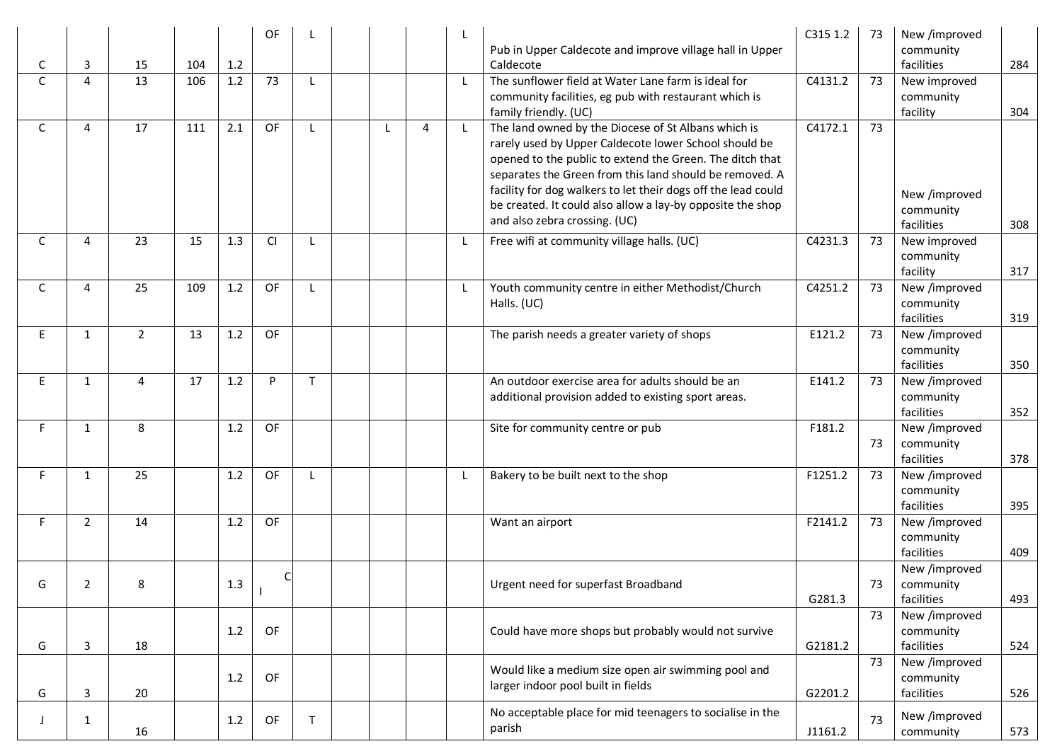| C            | 3              | 15             | 104 | 1.2 | OF        |              |              |   |              | Pub in Upper Caldecote and improve village hall in Upper<br>Caldecote                                                                                                                                                                                                                                                                                                                               | C315 1.2 | 73 | New /improved<br>community<br>facilities | 284 |
|--------------|----------------|----------------|-----|-----|-----------|--------------|--------------|---|--------------|-----------------------------------------------------------------------------------------------------------------------------------------------------------------------------------------------------------------------------------------------------------------------------------------------------------------------------------------------------------------------------------------------------|----------|----|------------------------------------------|-----|
| $\mathsf{C}$ | $\overline{4}$ | 13             | 106 | 1.2 | 73        | $\mathbf{I}$ |              |   |              | The sunflower field at Water Lane farm is ideal for<br>community facilities, eg pub with restaurant which is<br>family friendly. (UC)                                                                                                                                                                                                                                                               | C4131.2  | 73 | New improved<br>community<br>facility    | 304 |
| C            | 4              | 17             | 111 | 2.1 | OF        | -1.          | $\mathsf{L}$ | 4 | $\mathsf{L}$ | The land owned by the Diocese of St Albans which is<br>rarely used by Upper Caldecote lower School should be<br>opened to the public to extend the Green. The ditch that<br>separates the Green from this land should be removed. A<br>facility for dog walkers to let their dogs off the lead could<br>be created. It could also allow a lay-by opposite the shop<br>and also zebra crossing. (UC) | C4172.1  | 73 | New /improved<br>community<br>facilities | 308 |
| C            | $\overline{4}$ | 23             | 15  | 1.3 | <b>CI</b> | $\mathbf{I}$ |              |   | -1           | Free wifi at community village halls. (UC)                                                                                                                                                                                                                                                                                                                                                          | C4231.3  | 73 | New improved<br>community<br>facility    | 317 |
| C            | 4              | 25             | 109 | 1.2 | OF        | $\mathbf{I}$ |              |   | L            | Youth community centre in either Methodist/Church<br>Halls. (UC)                                                                                                                                                                                                                                                                                                                                    | C4251.2  | 73 | New /improved<br>community<br>facilities | 319 |
| E            | $\mathbf{1}$   | $\overline{2}$ | 13  | 1.2 | OF        |              |              |   |              | The parish needs a greater variety of shops                                                                                                                                                                                                                                                                                                                                                         | E121.2   | 73 | New /improved<br>community<br>facilities | 350 |
| E            | 1              | 4              | 17  | 1.2 | P         | $\mathsf{T}$ |              |   |              | An outdoor exercise area for adults should be an<br>additional provision added to existing sport areas.                                                                                                                                                                                                                                                                                             | E141.2   | 73 | New /improved<br>community<br>facilities | 352 |
| F.           | 1              | 8              |     | 1.2 | OF        |              |              |   |              | Site for community centre or pub                                                                                                                                                                                                                                                                                                                                                                    | F181.2   | 73 | New /improved<br>community<br>facilities | 378 |
| F.           | 1              | 25             |     | 1.2 | OF        | $\mathbf{I}$ |              |   |              | Bakery to be built next to the shop                                                                                                                                                                                                                                                                                                                                                                 | F1251.2  | 73 | New /improved<br>community<br>facilities | 395 |
| F.           | $\overline{2}$ | 14             |     | 1.2 | OF        |              |              |   |              | Want an airport                                                                                                                                                                                                                                                                                                                                                                                     | F2141.2  | 73 | New /improved<br>community<br>facilities | 409 |
| G            | 2              | 8              |     | 1.3 |           |              |              |   |              | Urgent need for superfast Broadband                                                                                                                                                                                                                                                                                                                                                                 | G281.3   | 73 | New /improved<br>community<br>facilities | 493 |
| G            | 3              | 18             |     | 1.2 | OF        |              |              |   |              | Could have more shops but probably would not survive                                                                                                                                                                                                                                                                                                                                                | G2181.2  | 73 | New /improved<br>community<br>facilities | 524 |
| G            | 3              | 20             |     | 1.2 | OF        |              |              |   |              | Would like a medium size open air swimming pool and<br>larger indoor pool built in fields                                                                                                                                                                                                                                                                                                           | G2201.2  | 73 | New /improved<br>community<br>facilities | 526 |
| J            | 1              | 16             |     | 1.2 | OF        | $\mathsf{T}$ |              |   |              | No acceptable place for mid teenagers to socialise in the<br>parish                                                                                                                                                                                                                                                                                                                                 | J1161.2  | 73 | New /improved<br>community               | 573 |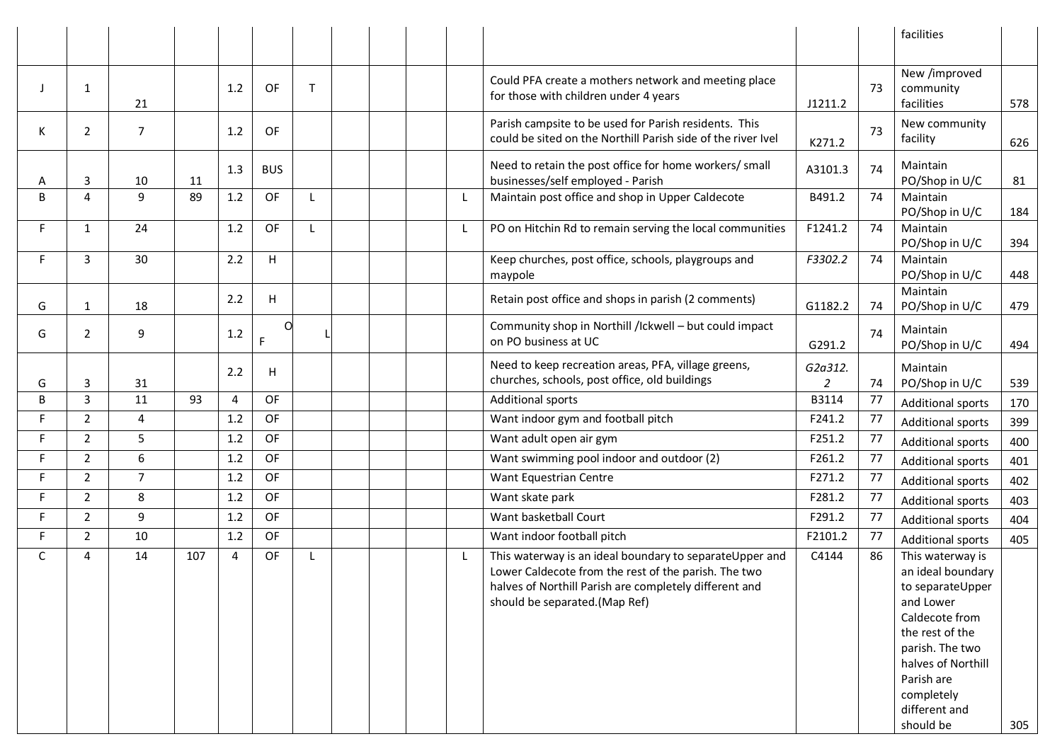|             |                |                |     |     |            |             |  |  |                                                                                                                                                                                                            |                           |    | facilities                                                                                                                                                                                                     |     |
|-------------|----------------|----------------|-----|-----|------------|-------------|--|--|------------------------------------------------------------------------------------------------------------------------------------------------------------------------------------------------------------|---------------------------|----|----------------------------------------------------------------------------------------------------------------------------------------------------------------------------------------------------------------|-----|
|             |                |                |     |     |            |             |  |  |                                                                                                                                                                                                            |                           |    |                                                                                                                                                                                                                |     |
|             | $\mathbf{1}$   | 21             |     | 1.2 | OF         | $\mathsf T$ |  |  | Could PFA create a mothers network and meeting place<br>for those with children under 4 years                                                                                                              | J1211.2                   | 73 | New /improved<br>community<br>facilities                                                                                                                                                                       | 578 |
| K           | $\overline{2}$ | $\overline{7}$ |     | 1.2 | 0F         |             |  |  | Parish campsite to be used for Parish residents. This<br>could be sited on the Northill Parish side of the river Ivel                                                                                      | K271.2                    | 73 | New community<br>facility                                                                                                                                                                                      | 626 |
| A           | 3              | 10             | 11  | 1.3 | <b>BUS</b> |             |  |  | Need to retain the post office for home workers/ small<br>businesses/self employed - Parish                                                                                                                | A3101.3                   | 74 | Maintain<br>PO/Shop in U/C                                                                                                                                                                                     | 81  |
| B           | 4              | 9              | 89  | 1.2 | OF         |             |  |  | Maintain post office and shop in Upper Caldecote                                                                                                                                                           | B491.2                    | 74 | Maintain<br>PO/Shop in U/C                                                                                                                                                                                     | 184 |
| F.          | $\mathbf{1}$   | 24             |     | 1.2 | OF         |             |  |  | PO on Hitchin Rd to remain serving the local communities                                                                                                                                                   | F1241.2                   | 74 | Maintain<br>PO/Shop in U/C                                                                                                                                                                                     | 394 |
| F           | 3              | 30             |     | 2.2 | н          |             |  |  | Keep churches, post office, schools, playgroups and<br>maypole                                                                                                                                             | F3302.2                   | 74 | Maintain<br>PO/Shop in U/C                                                                                                                                                                                     | 448 |
| G           | $\mathbf{1}$   | 18             |     | 2.2 | H.         |             |  |  | Retain post office and shops in parish (2 comments)                                                                                                                                                        | G1182.2                   | 74 | Maintain<br>PO/Shop in U/C                                                                                                                                                                                     | 479 |
| G           | $\overline{2}$ | 9              |     | 1.2 |            |             |  |  | Community shop in Northill /Ickwell - but could impact<br>on PO business at UC                                                                                                                             | G291.2                    | 74 | Maintain<br>PO/Shop in U/C                                                                                                                                                                                     | 494 |
| G           | 3              | 31             |     | 2.2 | н          |             |  |  | Need to keep recreation areas, PFA, village greens,<br>churches, schools, post office, old buildings                                                                                                       | G2a312.<br>$\overline{2}$ | 74 | Maintain<br>PO/Shop in U/C                                                                                                                                                                                     | 539 |
| B           | 3              | 11             | 93  | 4   | <b>OF</b>  |             |  |  | <b>Additional sports</b>                                                                                                                                                                                   | B3114                     | 77 | <b>Additional sports</b>                                                                                                                                                                                       | 170 |
| F.          | $\overline{2}$ | $\overline{4}$ |     | 1.2 | OF         |             |  |  | Want indoor gym and football pitch                                                                                                                                                                         | F241.2                    | 77 | <b>Additional sports</b>                                                                                                                                                                                       | 399 |
| F.          | $\overline{2}$ | 5              |     | 1.2 | OF         |             |  |  | Want adult open air gym                                                                                                                                                                                    | F251.2                    | 77 | <b>Additional sports</b>                                                                                                                                                                                       | 400 |
| F.          | $\overline{2}$ | 6              |     | 1.2 | OF         |             |  |  | Want swimming pool indoor and outdoor (2)                                                                                                                                                                  | F261.2                    | 77 | <b>Additional sports</b>                                                                                                                                                                                       | 401 |
| F.          | $\overline{2}$ | $\overline{7}$ |     | 1.2 | OF         |             |  |  | Want Equestrian Centre                                                                                                                                                                                     | F271.2                    | 77 | <b>Additional sports</b>                                                                                                                                                                                       | 402 |
| F.          | $\overline{2}$ | 8              |     | 1.2 | OF         |             |  |  | Want skate park                                                                                                                                                                                            | F281.2                    | 77 | <b>Additional sports</b>                                                                                                                                                                                       | 403 |
| F           | $\overline{2}$ | 9              |     | 1.2 | OF         |             |  |  | Want basketball Court                                                                                                                                                                                      | F291.2                    | 77 | <b>Additional sports</b>                                                                                                                                                                                       | 404 |
| F.          | $\overline{2}$ | 10             |     | 1.2 | OF         |             |  |  | Want indoor football pitch                                                                                                                                                                                 | F2101.2                   | 77 | <b>Additional sports</b>                                                                                                                                                                                       | 405 |
| $\mathsf C$ | 4              | 14             | 107 | 4   | OF         |             |  |  | This waterway is an ideal boundary to separateUpper and<br>Lower Caldecote from the rest of the parish. The two<br>halves of Northill Parish are completely different and<br>should be separated.(Map Ref) | C4144                     | 86 | This waterway is<br>an ideal boundary<br>to separateUpper<br>and Lower<br>Caldecote from<br>the rest of the<br>parish. The two<br>halves of Northill<br>Parish are<br>completely<br>different and<br>should be | 305 |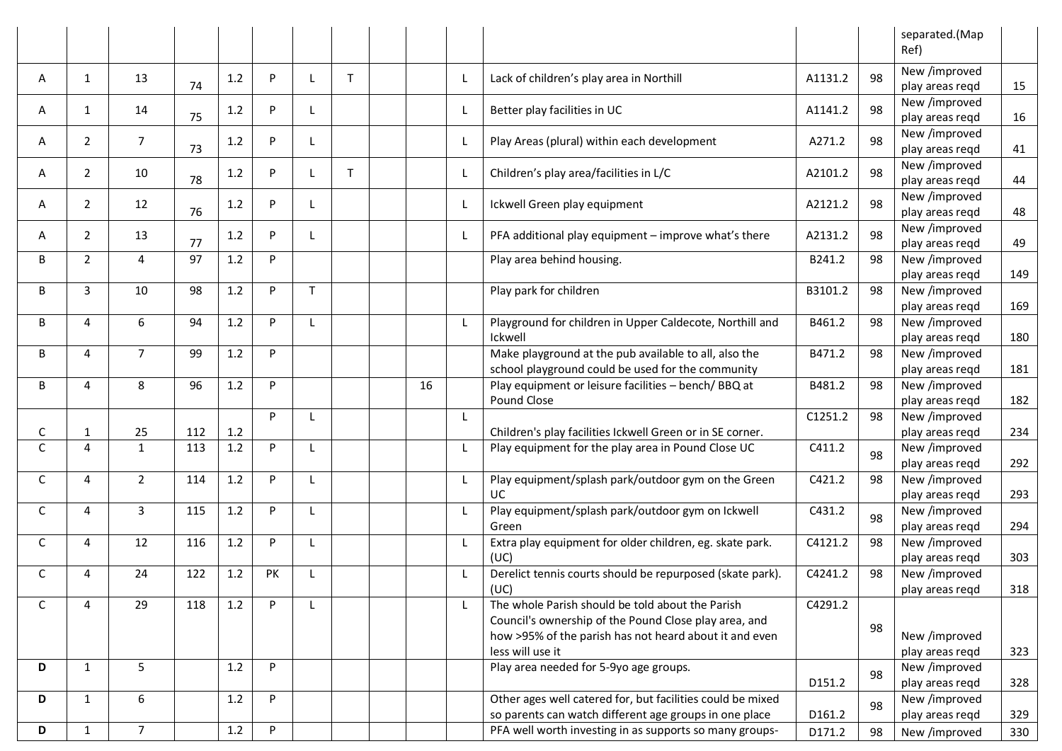|   |                |                |     |     |          |              |              |    |                                                                                                                      |         |    | separated.(Map<br>Ref)           |     |
|---|----------------|----------------|-----|-----|----------|--------------|--------------|----|----------------------------------------------------------------------------------------------------------------------|---------|----|----------------------------------|-----|
| A | 1              | 13             | 74  | 1.2 | P        |              | $\mathsf{T}$ |    | Lack of children's play area in Northill                                                                             | A1131.2 | 98 | New /improved<br>play areas regd | 15  |
| A | 1              | 14             | 75  | 1.2 | P        | L            |              |    | Better play facilities in UC                                                                                         | A1141.2 | 98 | New /improved<br>play areas regd | 16  |
| A | $\overline{2}$ | $\overline{7}$ | 73  | 1.2 | P        |              |              |    | Play Areas (plural) within each development                                                                          | A271.2  | 98 | New /improved<br>play areas regd | 41  |
| A | $\overline{2}$ | 10             | 78  | 1.2 | P        |              | $\mathsf T$  |    | Children's play area/facilities in L/C                                                                               | A2101.2 | 98 | New /improved<br>play areas regd | 44  |
| A | $\overline{2}$ | 12             | 76  | 1.2 | P        |              |              |    | Ickwell Green play equipment                                                                                         | A2121.2 | 98 | New /improved<br>play areas regd | 48  |
| A | $\overline{2}$ | 13             | 77  | 1.2 | P.       |              |              |    | PFA additional play equipment - improve what's there                                                                 | A2131.2 | 98 | New /improved<br>play areas regd | 49  |
| B | $\overline{2}$ | 4              | 97  | 1.2 | P        |              |              |    | Play area behind housing.                                                                                            | B241.2  | 98 | New /improved<br>play areas regd | 149 |
| B | 3              | 10             | 98  | 1.2 | P        | $\mathsf{T}$ |              |    | Play park for children                                                                                               | B3101.2 | 98 | New /improved<br>play areas regd | 169 |
| B | 4              | 6              | 94  | 1.2 | P.       | L            |              |    | Playground for children in Upper Caldecote, Northill and<br>Ickwell                                                  | B461.2  | 98 | New /improved<br>play areas regd | 180 |
| B | 4              | $\overline{7}$ | 99  | 1.2 | P        |              |              |    | Make playground at the pub available to all, also the<br>school playground could be used for the community           | B471.2  | 98 | New /improved<br>play areas regd | 181 |
| B | 4              | 8              | 96  | 1.2 | P        |              |              | 16 | Play equipment or leisure facilities - bench/BBQ at<br>Pound Close                                                   | B481.2  | 98 | New /improved<br>play areas regd | 182 |
| C | 1              | 25             | 112 | 1.2 | <b>P</b> | $\mathbf{I}$ |              |    | Children's play facilities Ickwell Green or in SE corner.                                                            | C1251.2 | 98 | New /improved<br>play areas regd | 234 |
| C | 4              | $\mathbf{1}$   | 113 | 1.2 | P        |              |              |    | Play equipment for the play area in Pound Close UC                                                                   | C411.2  | 98 | New /improved<br>play areas regd | 292 |
| C | 4              | $\overline{2}$ | 114 | 1.2 | P        | $\mathbf{I}$ |              |    | Play equipment/splash park/outdoor gym on the Green<br><b>UC</b>                                                     | C421.2  | 98 | New /improved<br>play areas regd | 293 |
| C | 4              | 3              | 115 | 1.2 | P        | -L           |              |    | Play equipment/splash park/outdoor gym on Ickwell<br>Green                                                           | C431.2  | 98 | New /improved<br>play areas regd | 294 |
| C | 4              | 12             | 116 | 1.2 | P        | L            |              |    | Extra play equipment for older children, eg. skate park.<br>(UC)                                                     | C4121.2 | 98 | New /improved<br>play areas regd | 303 |
| С | 4              | 24             | 122 | 1.2 | PK       |              |              |    | Derelict tennis courts should be repurposed (skate park).<br>(UC)                                                    | C4241.2 | 98 | New /improved<br>play areas regd | 318 |
| С | 4              | 29             | 118 | 1.2 | P        |              |              |    | The whole Parish should be told about the Parish<br>Council's ownership of the Pound Close play area, and            | C4291.2 | 98 |                                  |     |
|   |                |                |     |     |          |              |              |    | how >95% of the parish has not heard about it and even<br>less will use it                                           |         |    | New /improved<br>play areas regd | 323 |
| D | $\mathbf{1}$   | 5              |     | 1.2 | P        |              |              |    | Play area needed for 5-9yo age groups.                                                                               | D151.2  | 98 | New /improved<br>play areas reqd | 328 |
| D | $\mathbf{1}$   | 6              |     | 1.2 | P        |              |              |    | Other ages well catered for, but facilities could be mixed<br>so parents can watch different age groups in one place | D161.2  | 98 | New /improved<br>play areas reqd | 329 |
| D | $\mathbf{1}$   | 7 <sup>7</sup> |     | 1.2 | P        |              |              |    | PFA well worth investing in as supports so many groups-                                                              | D171.2  | 98 | New /improved                    | 330 |